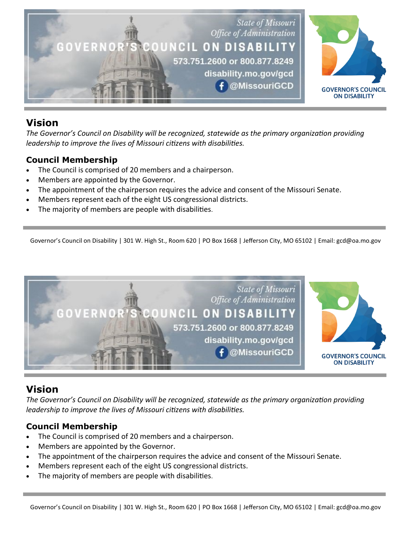

# **Vision**

*The Governor's Council on Disability will be recognized, statewide as the primary organization providing leadership to improve the lives of Missouri citizens with disabilities.*

## **Council Membership**

- The Council is comprised of 20 members and a chairperson.
- Members are appointed by the Governor.
- The appointment of the chairperson requires the advice and consent of the Missouri Senate.
- Members represent each of the eight US congressional districts.
- The majority of members are people with disabilities.

Governor's Council on Disability | 301 W. High St., Room 620 | PO Box 1668 | Jefferson City, MO 65102 | Email: gcd@oa.mo.gov



# **Vision**

*The Governor's Council on Disability will be recognized, statewide as the primary organization providing leadership to improve the lives of Missouri citizens with disabilities.*

# **Council Membership**

- The Council is comprised of 20 members and a chairperson.
- Members are appointed by the Governor.
- The appointment of the chairperson requires the advice and consent of the Missouri Senate.
- Members represent each of the eight US congressional districts.
- The majority of members are people with disabilities.